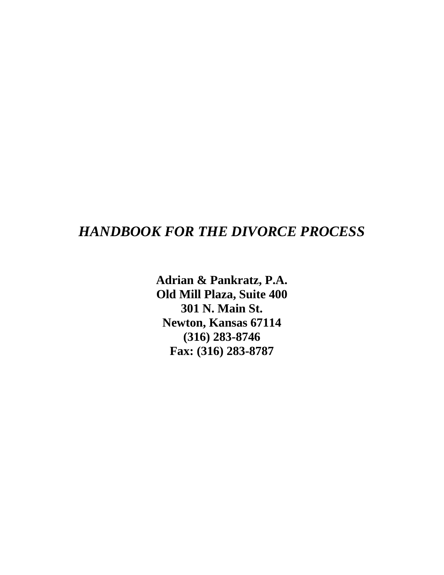# *HANDBOOK FOR THE DIVORCE PROCESS*

**Adrian & Pankratz, P.A. Old Mill Plaza, Suite 400 301 N. Main St. Newton, Kansas 67114 (316) 283-8746 Fax: (316) 283-8787**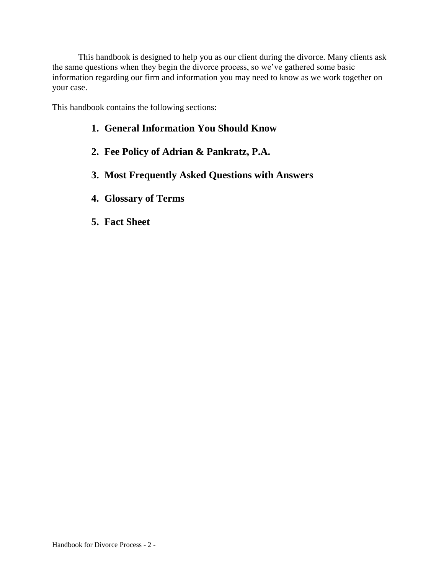This handbook is designed to help you as our client during the divorce. Many clients ask the same questions when they begin the divorce process, so we've gathered some basic information regarding our firm and information you may need to know as we work together on your case.

This handbook contains the following sections:

# **1. General Information You Should Know**

- **2. Fee Policy of Adrian & Pankratz, P.A.**
- **3. Most Frequently Asked Questions with Answers**
- **4. Glossary of Terms**
- **5. Fact Sheet**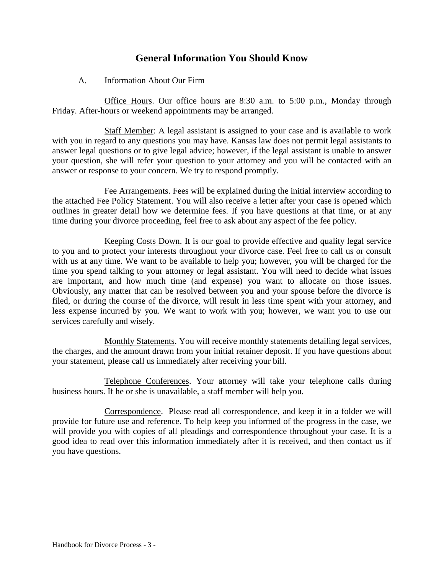# **General Information You Should Know**

## A. Information About Our Firm

Office Hours. Our office hours are 8:30 a.m. to 5:00 p.m., Monday through Friday. After-hours or weekend appointments may be arranged.

Staff Member: A legal assistant is assigned to your case and is available to work with you in regard to any questions you may have. Kansas law does not permit legal assistants to answer legal questions or to give legal advice; however, if the legal assistant is unable to answer your question, she will refer your question to your attorney and you will be contacted with an answer or response to your concern. We try to respond promptly.

Fee Arrangements. Fees will be explained during the initial interview according to the attached Fee Policy Statement. You will also receive a letter after your case is opened which outlines in greater detail how we determine fees. If you have questions at that time, or at any time during your divorce proceeding, feel free to ask about any aspect of the fee policy.

Keeping Costs Down. It is our goal to provide effective and quality legal service to you and to protect your interests throughout your divorce case. Feel free to call us or consult with us at any time. We want to be available to help you; however, you will be charged for the time you spend talking to your attorney or legal assistant. You will need to decide what issues are important, and how much time (and expense) you want to allocate on those issues. Obviously, any matter that can be resolved between you and your spouse before the divorce is filed, or during the course of the divorce, will result in less time spent with your attorney, and less expense incurred by you. We want to work with you; however, we want you to use our services carefully and wisely.

Monthly Statements. You will receive monthly statements detailing legal services, the charges, and the amount drawn from your initial retainer deposit. If you have questions about your statement, please call us immediately after receiving your bill.

Telephone Conferences. Your attorney will take your telephone calls during business hours. If he or she is unavailable, a staff member will help you.

Correspondence. Please read all correspondence, and keep it in a folder we will provide for future use and reference. To help keep you informed of the progress in the case, we will provide you with copies of all pleadings and correspondence throughout your case. It is a good idea to read over this information immediately after it is received, and then contact us if you have questions.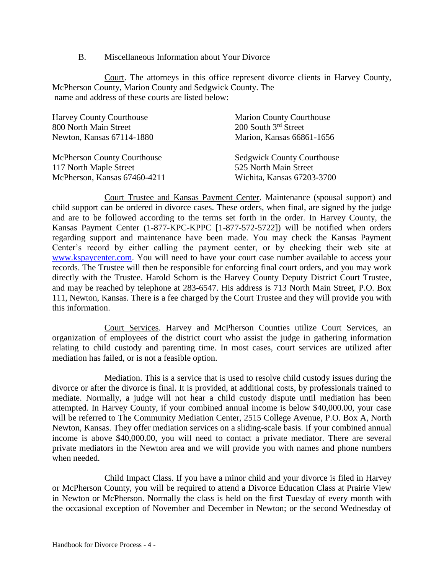#### B. Miscellaneous Information about Your Divorce

Court. The attorneys in this office represent divorce clients in Harvey County, McPherson County, Marion County and Sedgwick County. The name and address of these courts are listed below:

| <b>Harvey County Courthouse</b>    | <b>Marion County Courthouse</b>   |
|------------------------------------|-----------------------------------|
| 800 North Main Street              | 200 South 3rd Street              |
| Newton, Kansas 67114-1880          | Marion, Kansas 66861-1656         |
| <b>McPherson County Courthouse</b> | <b>Sedgwick County Courthouse</b> |
| 117 North Maple Street             | 525 North Main Street             |
| McPherson, Kansas 67460-4211       | Wichita, Kansas 67203-3700        |

Court Trustee and Kansas Payment Center. Maintenance (spousal support) and child support can be ordered in divorce cases. These orders, when final, are signed by the judge and are to be followed according to the terms set forth in the order. In Harvey County, the Kansas Payment Center (1-877-KPC-KPPC [1-877-572-5722]) will be notified when orders regarding support and maintenance have been made. You may check the Kansas Payment Center's record by either calling the payment center, or by checking their web site at [www.kspaycenter.com.](http://www.kspaycenter.com/) You will need to have your court case number available to access your records. The Trustee will then be responsible for enforcing final court orders, and you may work directly with the Trustee. Harold Schorn is the Harvey County Deputy District Court Trustee, and may be reached by telephone at 283-6547. His address is 713 North Main Street, P.O. Box 111, Newton, Kansas. There is a fee charged by the Court Trustee and they will provide you with this information.

Court Services. Harvey and McPherson Counties utilize Court Services, an organization of employees of the district court who assist the judge in gathering information relating to child custody and parenting time. In most cases, court services are utilized after mediation has failed, or is not a feasible option.

Mediation. This is a service that is used to resolve child custody issues during the divorce or after the divorce is final. It is provided, at additional costs, by professionals trained to mediate. Normally, a judge will not hear a child custody dispute until mediation has been attempted. In Harvey County, if your combined annual income is below \$40,000.00, your case will be referred to The Community Mediation Center, 2515 College Avenue, P.O. Box A, North Newton, Kansas. They offer mediation services on a sliding-scale basis. If your combined annual income is above \$40,000.00, you will need to contact a private mediator. There are several private mediators in the Newton area and we will provide you with names and phone numbers when needed.

Child Impact Class. If you have a minor child and your divorce is filed in Harvey or McPherson County, you will be required to attend a Divorce Education Class at Prairie View in Newton or McPherson. Normally the class is held on the first Tuesday of every month with the occasional exception of November and December in Newton; or the second Wednesday of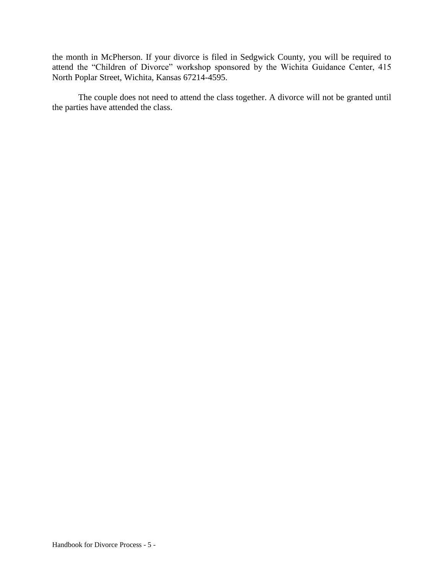the month in McPherson. If your divorce is filed in Sedgwick County, you will be required to attend the "Children of Divorce" workshop sponsored by the Wichita Guidance Center, 415 North Poplar Street, Wichita, Kansas 67214-4595.

The couple does not need to attend the class together. A divorce will not be granted until the parties have attended the class.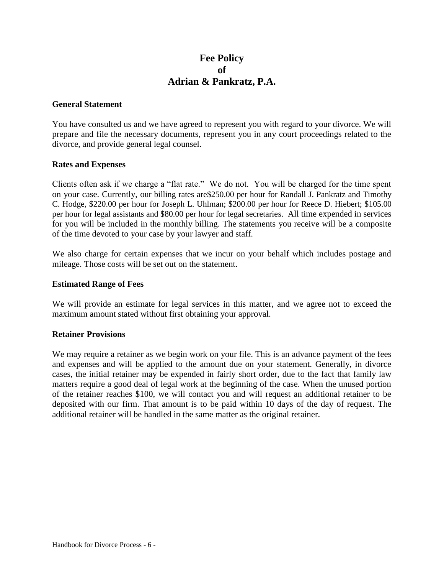# **Fee Policy of Adrian & Pankratz, P.A.**

#### **General Statement**

You have consulted us and we have agreed to represent you with regard to your divorce. We will prepare and file the necessary documents, represent you in any court proceedings related to the divorce, and provide general legal counsel.

#### **Rates and Expenses**

Clients often ask if we charge a "flat rate." We do not. You will be charged for the time spent on your case. Currently, our billing rates are\$250.00 per hour for Randall J. Pankratz and Timothy C. Hodge, \$220.00 per hour for Joseph L. Uhlman; \$200.00 per hour for Reece D. Hiebert; \$105.00 per hour for legal assistants and \$80.00 per hour for legal secretaries. All time expended in services for you will be included in the monthly billing. The statements you receive will be a composite of the time devoted to your case by your lawyer and staff.

We also charge for certain expenses that we incur on your behalf which includes postage and mileage. Those costs will be set out on the statement.

#### **Estimated Range of Fees**

We will provide an estimate for legal services in this matter, and we agree not to exceed the maximum amount stated without first obtaining your approval.

#### **Retainer Provisions**

We may require a retainer as we begin work on your file. This is an advance payment of the fees and expenses and will be applied to the amount due on your statement. Generally, in divorce cases, the initial retainer may be expended in fairly short order, due to the fact that family law matters require a good deal of legal work at the beginning of the case. When the unused portion of the retainer reaches \$100, we will contact you and will request an additional retainer to be deposited with our firm. That amount is to be paid within 10 days of the day of request. The additional retainer will be handled in the same matter as the original retainer.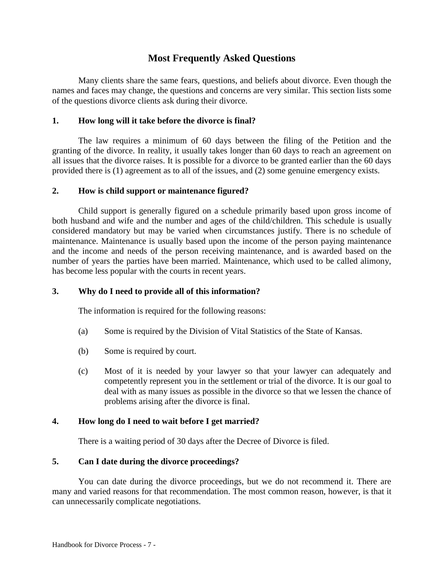# **Most Frequently Asked Questions**

Many clients share the same fears, questions, and beliefs about divorce. Even though the names and faces may change, the questions and concerns are very similar. This section lists some of the questions divorce clients ask during their divorce.

### **1. How long will it take before the divorce is final?**

The law requires a minimum of 60 days between the filing of the Petition and the granting of the divorce. In reality, it usually takes longer than 60 days to reach an agreement on all issues that the divorce raises. It is possible for a divorce to be granted earlier than the 60 days provided there is (1) agreement as to all of the issues, and (2) some genuine emergency exists.

## **2. How is child support or maintenance figured?**

Child support is generally figured on a schedule primarily based upon gross income of both husband and wife and the number and ages of the child/children. This schedule is usually considered mandatory but may be varied when circumstances justify. There is no schedule of maintenance. Maintenance is usually based upon the income of the person paying maintenance and the income and needs of the person receiving maintenance, and is awarded based on the number of years the parties have been married. Maintenance, which used to be called alimony, has become less popular with the courts in recent years.

## **3. Why do I need to provide all of this information?**

The information is required for the following reasons:

- (a) Some is required by the Division of Vital Statistics of the State of Kansas.
- (b) Some is required by court.
- (c) Most of it is needed by your lawyer so that your lawyer can adequately and competently represent you in the settlement or trial of the divorce. It is our goal to deal with as many issues as possible in the divorce so that we lessen the chance of problems arising after the divorce is final.

## **4. How long do I need to wait before I get married?**

There is a waiting period of 30 days after the Decree of Divorce is filed.

#### **5. Can I date during the divorce proceedings?**

You can date during the divorce proceedings, but we do not recommend it. There are many and varied reasons for that recommendation. The most common reason, however, is that it can unnecessarily complicate negotiations.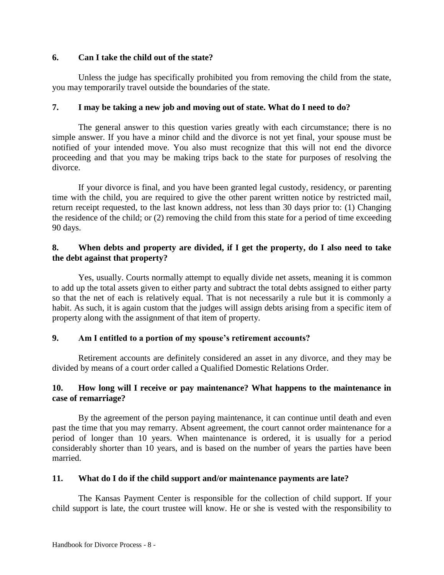## **6. Can I take the child out of the state?**

Unless the judge has specifically prohibited you from removing the child from the state, you may temporarily travel outside the boundaries of the state.

## **7. I may be taking a new job and moving out of state. What do I need to do?**

The general answer to this question varies greatly with each circumstance; there is no simple answer. If you have a minor child and the divorce is not yet final, your spouse must be notified of your intended move. You also must recognize that this will not end the divorce proceeding and that you may be making trips back to the state for purposes of resolving the divorce.

If your divorce is final, and you have been granted legal custody, residency, or parenting time with the child, you are required to give the other parent written notice by restricted mail, return receipt requested, to the last known address, not less than 30 days prior to: (1) Changing the residence of the child; or (2) removing the child from this state for a period of time exceeding 90 days.

## **8. When debts and property are divided, if I get the property, do I also need to take the debt against that property?**

Yes, usually. Courts normally attempt to equally divide net assets, meaning it is common to add up the total assets given to either party and subtract the total debts assigned to either party so that the net of each is relatively equal. That is not necessarily a rule but it is commonly a habit. As such, it is again custom that the judges will assign debts arising from a specific item of property along with the assignment of that item of property.

## **9. Am I entitled to a portion of my spouse's retirement accounts?**

Retirement accounts are definitely considered an asset in any divorce, and they may be divided by means of a court order called a Qualified Domestic Relations Order.

## **10. How long will I receive or pay maintenance? What happens to the maintenance in case of remarriage?**

By the agreement of the person paying maintenance, it can continue until death and even past the time that you may remarry. Absent agreement, the court cannot order maintenance for a period of longer than 10 years. When maintenance is ordered, it is usually for a period considerably shorter than 10 years, and is based on the number of years the parties have been married.

#### **11. What do I do if the child support and/or maintenance payments are late?**

The Kansas Payment Center is responsible for the collection of child support. If your child support is late, the court trustee will know. He or she is vested with the responsibility to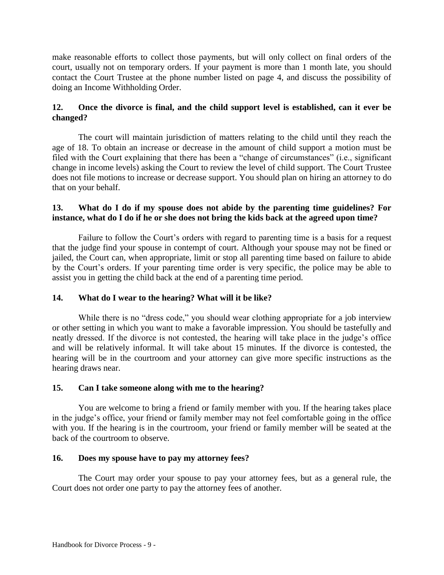make reasonable efforts to collect those payments, but will only collect on final orders of the court, usually not on temporary orders. If your payment is more than 1 month late, you should contact the Court Trustee at the phone number listed on page 4, and discuss the possibility of doing an Income Withholding Order.

## **12. Once the divorce is final, and the child support level is established, can it ever be changed?**

The court will maintain jurisdiction of matters relating to the child until they reach the age of 18. To obtain an increase or decrease in the amount of child support a motion must be filed with the Court explaining that there has been a "change of circumstances" (i.e., significant change in income levels) asking the Court to review the level of child support. The Court Trustee does not file motions to increase or decrease support. You should plan on hiring an attorney to do that on your behalf.

## **13. What do I do if my spouse does not abide by the parenting time guidelines? For instance, what do I do if he or she does not bring the kids back at the agreed upon time?**

Failure to follow the Court's orders with regard to parenting time is a basis for a request that the judge find your spouse in contempt of court. Although your spouse may not be fined or jailed, the Court can, when appropriate, limit or stop all parenting time based on failure to abide by the Court's orders. If your parenting time order is very specific, the police may be able to assist you in getting the child back at the end of a parenting time period.

## **14. What do I wear to the hearing? What will it be like?**

While there is no "dress code," you should wear clothing appropriate for a job interview or other setting in which you want to make a favorable impression. You should be tastefully and neatly dressed. If the divorce is not contested, the hearing will take place in the judge's office and will be relatively informal. It will take about 15 minutes. If the divorce is contested, the hearing will be in the courtroom and your attorney can give more specific instructions as the hearing draws near.

## **15. Can I take someone along with me to the hearing?**

You are welcome to bring a friend or family member with you. If the hearing takes place in the judge's office, your friend or family member may not feel comfortable going in the office with you. If the hearing is in the courtroom, your friend or family member will be seated at the back of the courtroom to observe.

## **16. Does my spouse have to pay my attorney fees?**

The Court may order your spouse to pay your attorney fees, but as a general rule, the Court does not order one party to pay the attorney fees of another.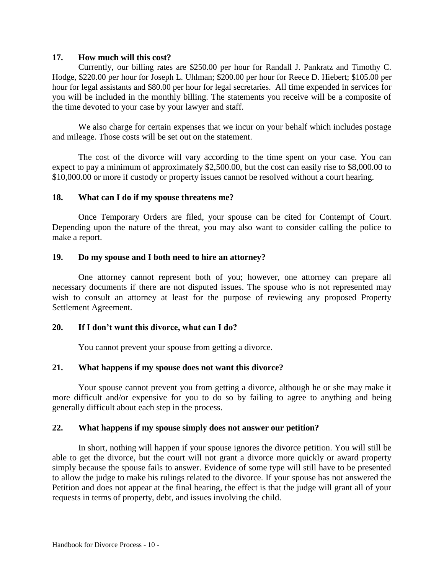#### **17. How much will this cost?**

Currently, our billing rates are \$250.00 per hour for Randall J. Pankratz and Timothy C. Hodge, \$220.00 per hour for Joseph L. Uhlman; \$200.00 per hour for Reece D. Hiebert; \$105.00 per hour for legal assistants and \$80.00 per hour for legal secretaries. All time expended in services for you will be included in the monthly billing. The statements you receive will be a composite of the time devoted to your case by your lawyer and staff.

We also charge for certain expenses that we incur on your behalf which includes postage and mileage. Those costs will be set out on the statement.

The cost of the divorce will vary according to the time spent on your case. You can expect to pay a minimum of approximately \$2,500.00, but the cost can easily rise to \$8,000.00 to \$10,000.00 or more if custody or property issues cannot be resolved without a court hearing.

#### **18. What can I do if my spouse threatens me?**

Once Temporary Orders are filed, your spouse can be cited for Contempt of Court. Depending upon the nature of the threat, you may also want to consider calling the police to make a report.

#### **19. Do my spouse and I both need to hire an attorney?**

One attorney cannot represent both of you; however, one attorney can prepare all necessary documents if there are not disputed issues. The spouse who is not represented may wish to consult an attorney at least for the purpose of reviewing any proposed Property Settlement Agreement.

#### **20. If I don't want this divorce, what can I do?**

You cannot prevent your spouse from getting a divorce.

#### **21. What happens if my spouse does not want this divorce?**

Your spouse cannot prevent you from getting a divorce, although he or she may make it more difficult and/or expensive for you to do so by failing to agree to anything and being generally difficult about each step in the process.

#### **22. What happens if my spouse simply does not answer our petition?**

In short, nothing will happen if your spouse ignores the divorce petition. You will still be able to get the divorce, but the court will not grant a divorce more quickly or award property simply because the spouse fails to answer. Evidence of some type will still have to be presented to allow the judge to make his rulings related to the divorce. If your spouse has not answered the Petition and does not appear at the final hearing, the effect is that the judge will grant all of your requests in terms of property, debt, and issues involving the child.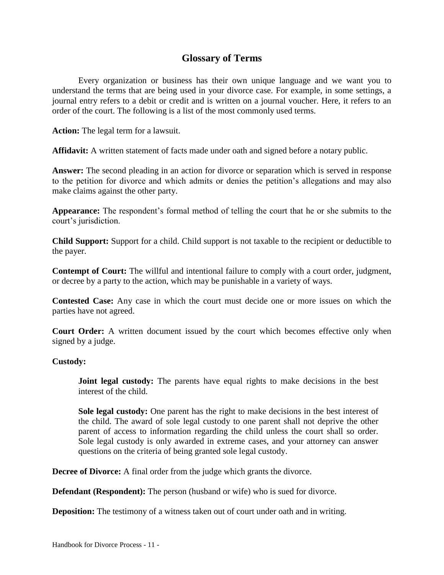# **Glossary of Terms**

Every organization or business has their own unique language and we want you to understand the terms that are being used in your divorce case. For example, in some settings, a journal entry refers to a debit or credit and is written on a journal voucher. Here, it refers to an order of the court. The following is a list of the most commonly used terms.

**Action:** The legal term for a lawsuit.

**Affidavit:** A written statement of facts made under oath and signed before a notary public.

**Answer:** The second pleading in an action for divorce or separation which is served in response to the petition for divorce and which admits or denies the petition's allegations and may also make claims against the other party.

**Appearance:** The respondent's formal method of telling the court that he or she submits to the court's jurisdiction.

**Child Support:** Support for a child. Child support is not taxable to the recipient or deductible to the payer.

**Contempt of Court:** The willful and intentional failure to comply with a court order, judgment, or decree by a party to the action, which may be punishable in a variety of ways.

**Contested Case:** Any case in which the court must decide one or more issues on which the parties have not agreed.

**Court Order:** A written document issued by the court which becomes effective only when signed by a judge.

#### **Custody:**

**Joint legal custody:** The parents have equal rights to make decisions in the best interest of the child.

**Sole legal custody:** One parent has the right to make decisions in the best interest of the child. The award of sole legal custody to one parent shall not deprive the other parent of access to information regarding the child unless the court shall so order. Sole legal custody is only awarded in extreme cases, and your attorney can answer questions on the criteria of being granted sole legal custody.

**Decree of Divorce:** A final order from the judge which grants the divorce.

**Defendant (Respondent):** The person (husband or wife) who is sued for divorce.

**Deposition:** The testimony of a witness taken out of court under oath and in writing.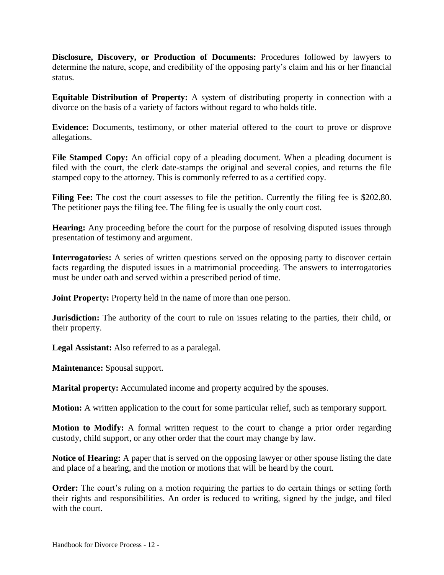**Disclosure, Discovery, or Production of Documents:** Procedures followed by lawyers to determine the nature, scope, and credibility of the opposing party's claim and his or her financial status.

**Equitable Distribution of Property:** A system of distributing property in connection with a divorce on the basis of a variety of factors without regard to who holds title.

**Evidence:** Documents, testimony, or other material offered to the court to prove or disprove allegations.

File Stamped Copy: An official copy of a pleading document. When a pleading document is filed with the court, the clerk date-stamps the original and several copies, and returns the file stamped copy to the attorney. This is commonly referred to as a certified copy.

**Filing Fee:** The cost the court assesses to file the petition. Currently the filing fee is \$202.80. The petitioner pays the filing fee. The filing fee is usually the only court cost.

**Hearing:** Any proceeding before the court for the purpose of resolving disputed issues through presentation of testimony and argument.

**Interrogatories:** A series of written questions served on the opposing party to discover certain facts regarding the disputed issues in a matrimonial proceeding. The answers to interrogatories must be under oath and served within a prescribed period of time.

**Joint Property:** Property held in the name of more than one person.

**Jurisdiction:** The authority of the court to rule on issues relating to the parties, their child, or their property.

**Legal Assistant:** Also referred to as a paralegal.

**Maintenance:** Spousal support.

**Marital property:** Accumulated income and property acquired by the spouses.

**Motion:** A written application to the court for some particular relief, such as temporary support.

**Motion to Modify:** A formal written request to the court to change a prior order regarding custody, child support, or any other order that the court may change by law.

**Notice of Hearing:** A paper that is served on the opposing lawyer or other spouse listing the date and place of a hearing, and the motion or motions that will be heard by the court.

**Order:** The court's ruling on a motion requiring the parties to do certain things or setting forth their rights and responsibilities. An order is reduced to writing, signed by the judge, and filed with the court.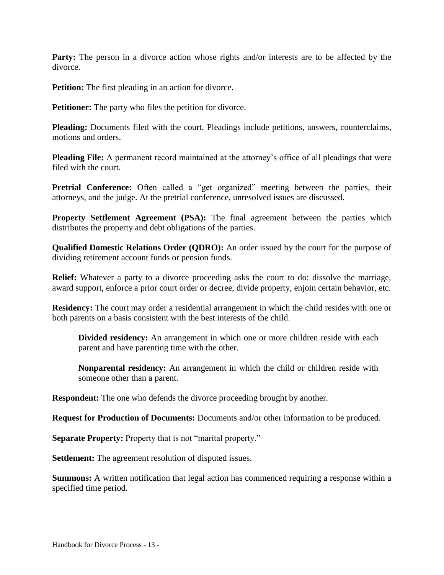**Party:** The person in a divorce action whose rights and/or interests are to be affected by the divorce.

**Petition:** The first pleading in an action for divorce.

**Petitioner:** The party who files the petition for divorce.

**Pleading:** Documents filed with the court. Pleadings include petitions, answers, counterclaims, motions and orders.

**Pleading File:** A permanent record maintained at the attorney's office of all pleadings that were filed with the court.

Pretrial Conference: Often called a "get organized" meeting between the parties, their attorneys, and the judge. At the pretrial conference, unresolved issues are discussed.

**Property Settlement Agreement (PSA):** The final agreement between the parties which distributes the property and debt obligations of the parties.

**Qualified Domestic Relations Order (QDRO):** An order issued by the court for the purpose of dividing retirement account funds or pension funds.

**Relief:** Whatever a party to a divorce proceeding asks the court to do: dissolve the marriage, award support, enforce a prior court order or decree, divide property, enjoin certain behavior, etc.

**Residency:** The court may order a residential arrangement in which the child resides with one or both parents on a basis consistent with the best interests of the child.

**Divided residency:** An arrangement in which one or more children reside with each parent and have parenting time with the other.

**Nonparental residency:** An arrangement in which the child or children reside with someone other than a parent.

**Respondent:** The one who defends the divorce proceeding brought by another.

**Request for Production of Documents:** Documents and/or other information to be produced.

**Separate Property:** Property that is not "marital property."

**Settlement:** The agreement resolution of disputed issues.

**Summons:** A written notification that legal action has commenced requiring a response within a specified time period.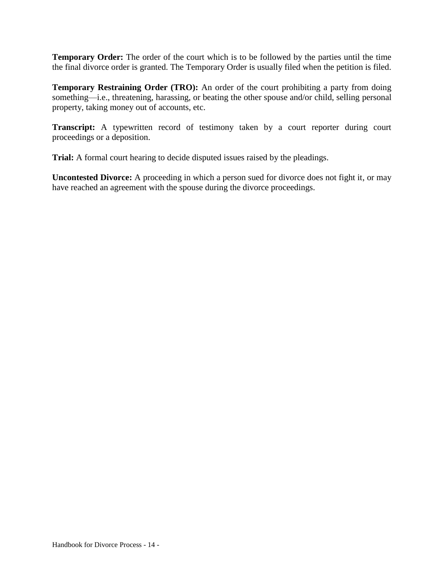**Temporary Order:** The order of the court which is to be followed by the parties until the time the final divorce order is granted. The Temporary Order is usually filed when the petition is filed.

**Temporary Restraining Order (TRO):** An order of the court prohibiting a party from doing something—i.e., threatening, harassing, or beating the other spouse and/or child, selling personal property, taking money out of accounts, etc.

**Transcript:** A typewritten record of testimony taken by a court reporter during court proceedings or a deposition.

**Trial:** A formal court hearing to decide disputed issues raised by the pleadings.

**Uncontested Divorce:** A proceeding in which a person sued for divorce does not fight it, or may have reached an agreement with the spouse during the divorce proceedings.